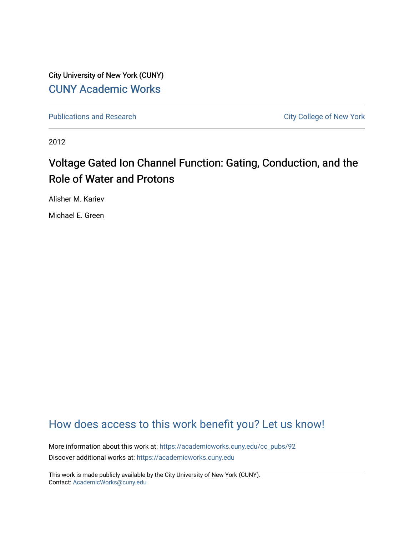City University of New York (CUNY) [CUNY Academic Works](https://academicworks.cuny.edu/) 

[Publications and Research](https://academicworks.cuny.edu/cc_pubs) **City College of New York** Publications and Research

2012

# Voltage Gated Ion Channel Function: Gating, Conduction, and the Role of Water and Protons

Alisher M. Kariev

Michael E. Green

## [How does access to this work benefit you? Let us know!](http://ols.cuny.edu/academicworks/?ref=https://academicworks.cuny.edu/cc_pubs/92)

More information about this work at: [https://academicworks.cuny.edu/cc\\_pubs/92](https://academicworks.cuny.edu/cc_pubs/92) Discover additional works at: [https://academicworks.cuny.edu](https://academicworks.cuny.edu/?)

This work is made publicly available by the City University of New York (CUNY). Contact: [AcademicWorks@cuny.edu](mailto:AcademicWorks@cuny.edu)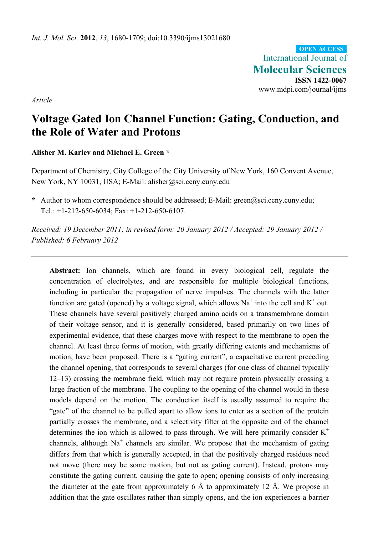International Journal of **Molecular Sciences ISSN 1422-0067**  www.mdpi.com/journal/ijms **OPEN ACCESS**

*Article*

## **Voltage Gated Ion Channel Function: Gating, Conduction, and the Role of Water and Protons**

## **Alisher M. Kariev and Michael E. Green \***

Department of Chemistry, City College of the City University of New York, 160 Convent Avenue, New York, NY 10031, USA; E-Mail: alisher@sci.ccny.cuny.edu

**\*** Author to whom correspondence should be addressed; E-Mail: green@sci.ccny.cuny.edu; Tel.: +1-212-650-6034; Fax: +1-212-650-6107.

*Received: 19 December 2011; in revised form: 20 January 2012 / Accepted: 29 January 2012 / Published: 6 February 2012* 

**Abstract:** Ion channels, which are found in every biological cell, regulate the concentration of electrolytes, and are responsible for multiple biological functions, including in particular the propagation of nerve impulses. The channels with the latter function are gated (opened) by a voltage signal, which allows  $Na<sup>+</sup>$  into the cell and  $K<sup>+</sup>$  out. These channels have several positively charged amino acids on a transmembrane domain of their voltage sensor, and it is generally considered, based primarily on two lines of experimental evidence, that these charges move with respect to the membrane to open the channel. At least three forms of motion, with greatly differing extents and mechanisms of motion, have been proposed. There is a "gating current", a capacitative current preceding the channel opening, that corresponds to several charges (for one class of channel typically 12–13) crossing the membrane field, which may not require protein physically crossing a large fraction of the membrane. The coupling to the opening of the channel would in these models depend on the motion. The conduction itself is usually assumed to require the "gate" of the channel to be pulled apart to allow ions to enter as a section of the protein partially crosses the membrane, and a selectivity filter at the opposite end of the channel determines the ion which is allowed to pass through. We will here primarily consider  $K^+$ channels, although  $Na<sup>+</sup>$  channels are similar. We propose that the mechanism of gating differs from that which is generally accepted, in that the positively charged residues need not move (there may be some motion, but not as gating current). Instead, protons may constitute the gating current, causing the gate to open; opening consists of only increasing the diameter at the gate from approximately 6 Å to approximately 12 Å. We propose in addition that the gate oscillates rather than simply opens, and the ion experiences a barrier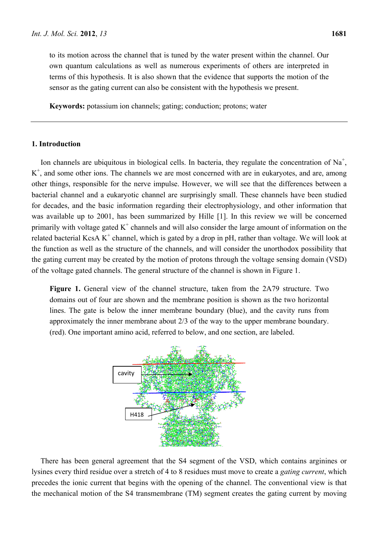to its motion across the channel that is tuned by the water present within the channel. Our own quantum calculations as well as numerous experiments of others are interpreted in terms of this hypothesis. It is also shown that the evidence that supports the motion of the sensor as the gating current can also be consistent with the hypothesis we present.

**Keywords:** potassium ion channels; gating; conduction; protons; water

## **1. Introduction**

Ion channels are ubiquitous in biological cells. In bacteria, they regulate the concentration of  $Na<sup>+</sup>$ ,  $K^+$ , and some other ions. The channels we are most concerned with are in eukaryotes, and are, among other things, responsible for the nerve impulse. However, we will see that the differences between a bacterial channel and a eukaryotic channel are surprisingly small. These channels have been studied for decades, and the basic information regarding their electrophysiology, and other information that was available up to 2001, has been summarized by Hille [1]. In this review we will be concerned primarily with voltage gated  $K^+$  channels and will also consider the large amount of information on the related bacterial KcsA  $K^+$  channel, which is gated by a drop in pH, rather than voltage. We will look at the function as well as the structure of the channels, and will consider the unorthodox possibility that the gating current may be created by the motion of protons through the voltage sensing domain (VSD) of the voltage gated channels. The general structure of the channel is shown in Figure 1.

**Figure 1.** General view of the channel structure, taken from the 2A79 structure. Two domains out of four are shown and the membrane position is shown as the two horizontal lines. The gate is below the inner membrane boundary (blue), and the cavity runs from approximately the inner membrane about 2/3 of the way to the upper membrane boundary. (red). One important amino acid, referred to below, and one section, are labeled.



There has been general agreement that the S4 segment of the VSD, which contains arginines or lysines every third residue over a stretch of 4 to 8 residues must move to create a *gating current*, which precedes the ionic current that begins with the opening of the channel. The conventional view is that the mechanical motion of the S4 transmembrane (TM) segment creates the gating current by moving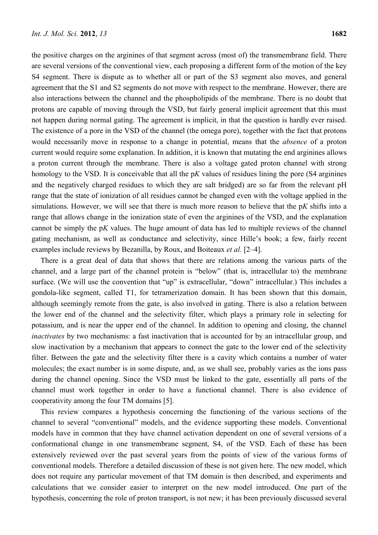the positive charges on the arginines of that segment across (most of) the transmembrane field. There are several versions of the conventional view, each proposing a different form of the motion of the key S4 segment. There is dispute as to whether all or part of the S3 segment also moves, and general agreement that the S1 and S2 segments do not move with respect to the membrane. However, there are also interactions between the channel and the phospholipids of the membrane. There is no doubt that protons are capable of moving through the VSD, but fairly general implicit agreement that this must not happen during normal gating. The agreement is implicit, in that the question is hardly ever raised. The existence of a pore in the VSD of the channel (the omega pore), together with the fact that protons would necessarily move in response to a change in potential, means that the *absence* of a proton current would require some explanation. In addition, it is known that mutating the end arginines allows a proton current through the membrane. There is also a voltage gated proton channel with strong homology to the VSD. It is conceivable that all the p*K* values of residues lining the pore (S4 arginines and the negatively charged residues to which they are salt bridged) are so far from the relevant pH range that the state of ionization of all residues cannot be changed even with the voltage applied in the simulations. However, we will see that there is much more reason to believe that the p*K* shifts into a range that allows change in the ionization state of even the arginines of the VSD, and the explanation cannot be simply the p*K* values. The huge amount of data has led to multiple reviews of the channel gating mechanism, as well as conductance and selectivity, since Hille's book; a few, fairly recent examples include reviews by Bezanilla, by Roux, and Boiteaux *et al.* [2–4].

There is a great deal of data that shows that there are relations among the various parts of the channel, and a large part of the channel protein is "below" (that is, intracellular to) the membrane surface. (We will use the convention that "up" is extracellular, "down" intracellular.) This includes a gondola-like segment, called T1, for tetramerization domain. It has been shown that this domain, although seemingly remote from the gate, is also involved in gating. There is also a relation between the lower end of the channel and the selectivity filter, which plays a primary role in selecting for potassium, and is near the upper end of the channel. In addition to opening and closing, the channel *inactivates* by two mechanisms: a fast inactivation that is accounted for by an intracellular group, and slow inactivation by a mechanism that appears to connect the gate to the lower end of the selectivity filter. Between the gate and the selectivity filter there is a cavity which contains a number of water molecules; the exact number is in some dispute, and, as we shall see, probably varies as the ions pass during the channel opening. Since the VSD must be linked to the gate, essentially all parts of the channel must work together in order to have a functional channel. There is also evidence of cooperativity among the four TM domains [5].

This review compares a hypothesis concerning the functioning of the various sections of the channel to several "conventional" models, and the evidence supporting these models. Conventional models have in common that they have channel activation dependent on one of several versions of a conformational change in one transmembrane segment, S4, of the VSD. Each of these has been extensively reviewed over the past several years from the points of view of the various forms of conventional models. Therefore a detailed discussion of these is not given here. The new model, which does not require any particular movement of that TM domain is then described, and experiments and calculations that we consider easier to interpret on the new model introduced. One part of the hypothesis, concerning the role of proton transport, is not new; it has been previously discussed several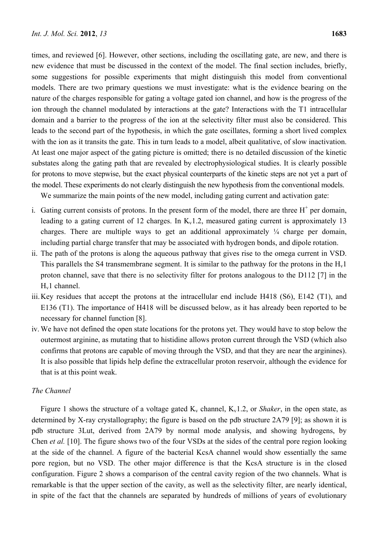times, and reviewed [6]. However, other sections, including the oscillating gate, are new, and there is new evidence that must be discussed in the context of the model. The final section includes, briefly, some suggestions for possible experiments that might distinguish this model from conventional models. There are two primary questions we must investigate: what is the evidence bearing on the nature of the charges responsible for gating a voltage gated ion channel, and how is the progress of the ion through the channel modulated by interactions at the gate? Interactions with the T1 intracellular domain and a barrier to the progress of the ion at the selectivity filter must also be considered. This leads to the second part of the hypothesis, in which the gate oscillates, forming a short lived complex with the ion as it transits the gate. This in turn leads to a model, albeit qualitative, of slow inactivation. At least one major aspect of the gating picture is omitted; there is no detailed discussion of the kinetic substates along the gating path that are revealed by electrophysiological studies. It is clearly possible for protons to move stepwise, but the exact physical counterparts of the kinetic steps are not yet a part of the model. These experiments do not clearly distinguish the new hypothesis from the conventional models.

We summarize the main points of the new model, including gating current and activation gate:

- i. Gating current consists of protons. In the present form of the model, there are three  $H^+$  per domain, leading to a gating current of 12 charges. In  $K_v1.2$ , measured gating current is approximately 13 charges. There are multiple ways to get an additional approximately  $\frac{1}{4}$  charge per domain, including partial charge transfer that may be associated with hydrogen bonds, and dipole rotation.
- ii. The path of the protons is along the aqueous pathway that gives rise to the omega current in VSD. This parallels the S4 transmembrane segment. It is similar to the pathway for the protons in the  $H_v1$ proton channel, save that there is no selectivity filter for protons analogous to the D112 [7] in the  $H_v1$  channel.
- iii.Key residues that accept the protons at the intracellular end include H418 (S6), E142 (T1), and E136 (T1). The importance of H418 will be discussed below, as it has already been reported to be necessary for channel function [8].
- iv. We have not defined the open state locations for the protons yet. They would have to stop below the outermost arginine, as mutating that to histidine allows proton current through the VSD (which also confirms that protons are capable of moving through the VSD, and that they are near the arginines). It is also possible that lipids help define the extracellular proton reservoir, although the evidence for that is at this point weak.

#### *The Channel*

Figure 1 shows the structure of a voltage gated  $K_v$  channel,  $K_v1.2$ , or *Shaker*, in the open state, as determined by X-ray crystallography; the figure is based on the pdb structure 2A79 [9]; as shown it is pdb structure 3Lut, derived from 2A79 by normal mode analysis, and showing hydrogens, by Chen *et al.* [10]. The figure shows two of the four VSDs at the sides of the central pore region looking at the side of the channel. A figure of the bacterial KcsA channel would show essentially the same pore region, but no VSD. The other major difference is that the KcsA structure is in the closed configuration. Figure 2 shows a comparison of the central cavity region of the two channels. What is remarkable is that the upper section of the cavity, as well as the selectivity filter, are nearly identical, in spite of the fact that the channels are separated by hundreds of millions of years of evolutionary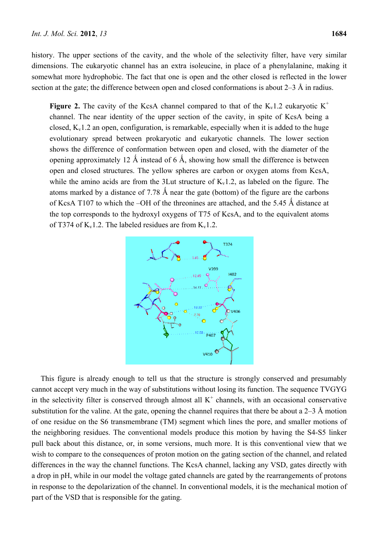history. The upper sections of the cavity, and the whole of the selectivity filter, have very similar dimensions. The eukaryotic channel has an extra isoleucine, in place of a phenylalanine, making it somewhat more hydrophobic. The fact that one is open and the other closed is reflected in the lower section at the gate; the difference between open and closed conformations is about 2–3 Å in radius.

**Figure 2.** The cavity of the KcsA channel compared to that of the  $K_v1.2$  eukaryotic  $K^+$ channel. The near identity of the upper section of the cavity, in spite of KcsA being a closed,  $K_v1.2$  an open, configuration, is remarkable, especially when it is added to the huge evolutionary spread between prokaryotic and eukaryotic channels. The lower section shows the difference of conformation between open and closed, with the diameter of the opening approximately 12 Å instead of 6 Å, showing how small the difference is between open and closed structures. The yellow spheres are carbon or oxygen atoms from KcsA, while the amino acids are from the 3Lut structure of  $K_v1.2$ , as labeled on the figure. The atoms marked by a distance of 7.78 Å near the gate (bottom) of the figure are the carbons of KcsA T107 to which the –OH of the threonines are attached, and the 5.45  $\AA$  distance at the top corresponds to the hydroxyl oxygens of T75 of KcsA, and to the equivalent atoms of T374 of  $K_v1.2$ . The labeled residues are from  $K_v1.2$ .



This figure is already enough to tell us that the structure is strongly conserved and presumably cannot accept very much in the way of substitutions without losing its function. The sequence TVGYG in the selectivity filter is conserved through almost all  $K^+$  channels, with an occasional conservative substitution for the valine. At the gate, opening the channel requires that there be about a  $2-3$  Å motion of one residue on the S6 transmembrane (TM) segment which lines the pore, and smaller motions of the neighboring residues. The conventional models produce this motion by having the S4-S5 linker pull back about this distance, or, in some versions, much more. It is this conventional view that we wish to compare to the consequences of proton motion on the gating section of the channel, and related differences in the way the channel functions. The KcsA channel, lacking any VSD, gates directly with a drop in pH, while in our model the voltage gated channels are gated by the rearrangements of protons in response to the depolarization of the channel. In conventional models, it is the mechanical motion of part of the VSD that is responsible for the gating.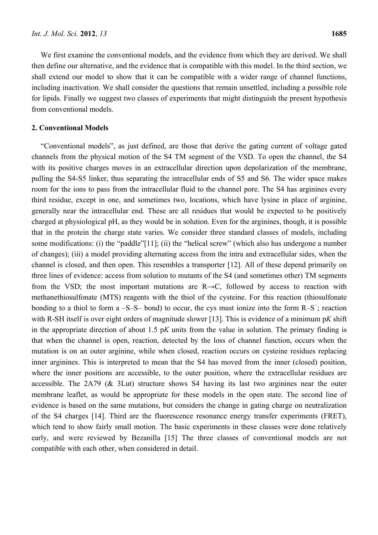We first examine the conventional models, and the evidence from which they are derived. We shall then define our alternative, and the evidence that is compatible with this model. In the third section, we shall extend our model to show that it can be compatible with a wider range of channel functions, including inactivation. We shall consider the questions that remain unsettled, including a possible role for lipids. Finally we suggest two classes of experiments that might distinguish the present hypothesis from conventional models.

#### **2. Conventional Models**

"Conventional models", as just defined, are those that derive the gating current of voltage gated channels from the physical motion of the S4 TM segment of the VSD. To open the channel, the S4 with its positive charges moves in an extracellular direction upon depolarization of the membrane, pulling the S4-S5 linker, thus separating the intracellular ends of S5 and S6. The wider space makes room for the ions to pass from the intracellular fluid to the channel pore. The S4 has arginines every third residue, except in one, and sometimes two, locations, which have lysine in place of arginine, generally near the intracellular end. These are all residues that would be expected to be positively charged at physiological pH, as they would be in solution. Even for the arginines, though, it is possible that in the protein the charge state varies. We consider three standard classes of models, including some modifications: (i) the "paddle"[11]; (ii) the "helical screw" (which also has undergone a number of changes); (iii) a model providing alternating access from the intra and extracellular sides, when the channel is closed, and then open. This resembles a transporter [12]. All of these depend primarily on three lines of evidence: access from solution to mutants of the S4 (and sometimes other) TM segments from the VSD; the most important mutations are  $R\rightarrow C$ , followed by access to reaction with methanethiosulfonate (MTS) reagents with the thiol of the cysteine. For this reaction (thiosulfonate bonding to a thiol to form a  $-S-S-$  bond) to occur, the cys must ionize into the form  $R-S^-$ ; reaction with R-SH itself is over eight orders of magnitude slower [13]. This is evidence of a minimum p*K* shift in the appropriate direction of about 1.5 p*K* units from the value in solution. The primary finding is that when the channel is open, reaction, detected by the loss of channel function, occurs when the mutation is on an outer arginine, while when closed, reaction occurs on cysteine residues replacing inner arginines. This is interpreted to mean that the S4 has moved from the inner (closed) position, where the inner positions are accessible, to the outer position, where the extracellular residues are accessible. The  $2A79$  ( $\&$  3Lut) structure shows S4 having its last two arginines near the outer membrane leaflet, as would be appropriate for these models in the open state. The second line of evidence is based on the same mutations, but considers the change in gating charge on neutralization of the S4 charges [14]. Third are the fluorescence resonance energy transfer experiments (FRET), which tend to show fairly small motion. The basic experiments in these classes were done relatively early, and were reviewed by Bezanilla [15] The three classes of conventional models are not compatible with each other, when considered in detail.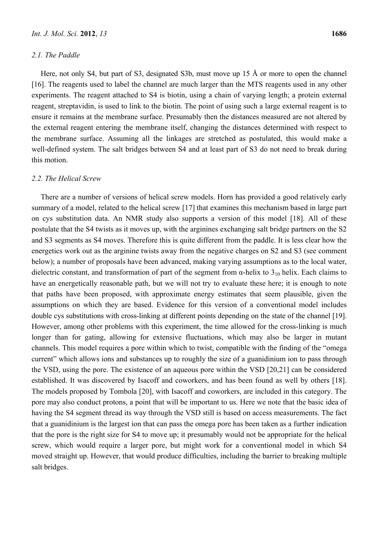#### *2.1. The Paddle*

Here, not only S4, but part of S3, designated S3b, must move up 15 Å or more to open the channel [16]. The reagents used to label the channel are much larger than the MTS reagents used in any other experiments. The reagent attached to S4 is biotin, using a chain of varying length; a protein external reagent, streptavidin, is used to link to the biotin. The point of using such a large external reagent is to ensure it remains at the membrane surface. Presumably then the distances measured are not altered by the external reagent entering the membrane itself, changing the distances determined with respect to the membrane surface. Assuming all the linkages are stretched as postulated, this would make a well-defined system. The salt bridges between S4 and at least part of S3 do not need to break during this motion.

#### *2.2. The Helical Screw*

There are a number of versions of helical screw models. Horn has provided a good relatively early summary of a model, related to the helical screw [17] that examines this mechanism based in large part on cys substitution data. An NMR study also supports a version of this model [18]. All of these postulate that the S4 twists as it moves up, with the arginines exchanging salt bridge partners on the S2 and S3 segments as S4 moves. Therefore this is quite different from the paddle. It is less clear how the energetics work out as the arginine twists away from the negative charges on S2 and S3 (see comment below); a number of proposals have been advanced, making varying assumptions as to the local water, dielectric constant, and transformation of part of the segment from  $\alpha$ -helix to 3<sub>10</sub> helix. Each claims to have an energetically reasonable path, but we will not try to evaluate these here; it is enough to note that paths have been proposed, with approximate energy estimates that seem plausible, given the assumptions on which they are based. Evidence for this version of a conventional model includes double cys substitutions with cross-linking at different points depending on the state of the channel [19]. However, among other problems with this experiment, the time allowed for the cross-linking is much longer than for gating, allowing for extensive fluctuations, which may also be larger in mutant channels. This model requires a pore within which to twist, compatible with the finding of the "omega current" which allows ions and substances up to roughly the size of a guanidinium ion to pass through the VSD, using the pore. The existence of an aqueous pore within the VSD [20,21] can be considered established. It was discovered by Isacoff and coworkers, and has been found as well by others [18]. The models proposed by Tombola [20], with Isacoff and coworkers, are included in this category. The pore may also conduct protons, a point that will be important to us. Here we note that the basic idea of having the S4 segment thread its way through the VSD still is based on access measurements. The fact that a guanidinium is the largest ion that can pass the omega pore has been taken as a further indication that the pore is the right size for S4 to move up; it presumably would not be appropriate for the helical screw, which would require a larger pore, but might work for a conventional model in which S4 moved straight up. However, that would produce difficulties, including the barrier to breaking multiple salt bridges.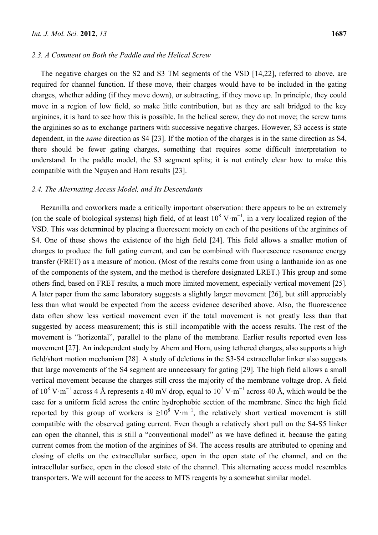#### *2.3. A Comment on Both the Paddle and the Helical Screw*

The negative charges on the S2 and S3 TM segments of the VSD [14,22], referred to above, are required for channel function. If these move, their charges would have to be included in the gating charges, whether adding (if they move down), or subtracting, if they move up. In principle, they could move in a region of low field, so make little contribution, but as they are salt bridged to the key arginines, it is hard to see how this is possible. In the helical screw, they do not move; the screw turns the arginines so as to exchange partners with successive negative charges. However, S3 access is state dependent, in the *same* direction as S4 [23]. If the motion of the charges is in the same direction as S4, there should be fewer gating charges, something that requires some difficult interpretation to understand. In the paddle model, the S3 segment splits; it is not entirely clear how to make this compatible with the Nguyen and Horn results [23].

#### *2.4. The Alternating Access Model, and Its Descendants*

Bezanilla and coworkers made a critically important observation: there appears to be an extremely (on the scale of biological systems) high field, of at least  $10^8$  V·m<sup>-1</sup>, in a very localized region of the VSD. This was determined by placing a fluorescent moiety on each of the positions of the arginines of S4. One of these shows the existence of the high field [24]. This field allows a smaller motion of charges to produce the full gating current, and can be combined with fluorescence resonance energy transfer (FRET) as a measure of motion. (Most of the results come from using a lanthanide ion as one of the components of the system, and the method is therefore designated LRET.) This group and some others find, based on FRET results, a much more limited movement, especially vertical movement [25]. A later paper from the same laboratory suggests a slightly larger movement [26], but still appreciably less than what would be expected from the access evidence described above. Also, the fluorescence data often show less vertical movement even if the total movement is not greatly less than that suggested by access measurement; this is still incompatible with the access results. The rest of the movement is "horizontal", parallel to the plane of the membrane. Earlier results reported even less movement [27]. An independent study by Ahern and Horn, using tethered charges, also supports a high field/short motion mechanism [28]. A study of deletions in the S3-S4 extracellular linker also suggests that large movements of the S4 segment are unnecessary for gating [29]. The high field allows a small vertical movement because the charges still cross the majority of the membrane voltage drop. A field of  $10^8$  V·m<sup>-1</sup> across 4 Å represents a 40 mV drop, equal to  $10^7$  V·m<sup>-1</sup> across 40 Å, which would be the case for a uniform field across the entire hydrophobic section of the membrane. Since the high field reported by this group of workers is  $\geq 10^8$  V·m<sup>-1</sup>, the relatively short vertical movement is still compatible with the observed gating current. Even though a relatively short pull on the S4-S5 linker can open the channel, this is still a "conventional model" as we have defined it, because the gating current comes from the motion of the arginines of S4. The access results are attributed to opening and closing of clefts on the extracellular surface, open in the open state of the channel, and on the intracellular surface, open in the closed state of the channel. This alternating access model resembles transporters. We will account for the access to MTS reagents by a somewhat similar model.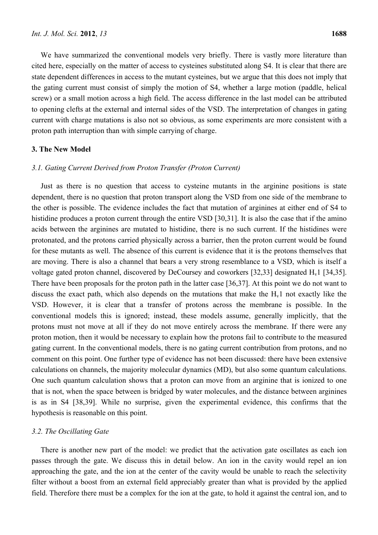We have summarized the conventional models very briefly. There is vastly more literature than cited here, especially on the matter of access to cysteines substituted along S4. It is clear that there are state dependent differences in access to the mutant cysteines, but we argue that this does not imply that the gating current must consist of simply the motion of S4, whether a large motion (paddle, helical screw) or a small motion across a high field. The access difference in the last model can be attributed to opening clefts at the external and internal sides of the VSD. The interpretation of changes in gating current with charge mutations is also not so obvious, as some experiments are more consistent with a proton path interruption than with simple carrying of charge.

## **3. The New Model**

#### *3.1. Gating Current Derived from Proton Transfer (Proton Current)*

Just as there is no question that access to cysteine mutants in the arginine positions is state dependent, there is no question that proton transport along the VSD from one side of the membrane to the other is possible. The evidence includes the fact that mutation of arginines at either end of S4 to histidine produces a proton current through the entire VSD [30,31]. It is also the case that if the amino acids between the arginines are mutated to histidine, there is no such current. If the histidines were protonated, and the protons carried physically across a barrier, then the proton current would be found for these mutants as well. The absence of this current is evidence that it is the protons themselves that are moving. There is also a channel that bears a very strong resemblance to a VSD, which is itself a voltage gated proton channel, discovered by DeCoursey and coworkers [32,33] designated  $H_v$ 1 [34,35]. There have been proposals for the proton path in the latter case [36,37]. At this point we do not want to discuss the exact path, which also depends on the mutations that make the  $H_v1$  not exactly like the VSD. However, it is clear that a transfer of protons across the membrane is possible. In the conventional models this is ignored; instead, these models assume, generally implicitly, that the protons must not move at all if they do not move entirely across the membrane. If there were any proton motion, then it would be necessary to explain how the protons fail to contribute to the measured gating current. In the conventional models, there is no gating current contribution from protons, and no comment on this point. One further type of evidence has not been discussed: there have been extensive calculations on channels, the majority molecular dynamics (MD), but also some quantum calculations. One such quantum calculation shows that a proton can move from an arginine that is ionized to one that is not, when the space between is bridged by water molecules, and the distance between arginines is as in S4 [38,39]. While no surprise, given the experimental evidence, this confirms that the hypothesis is reasonable on this point.

#### *3.2. The Oscillating Gate*

There is another new part of the model: we predict that the activation gate oscillates as each ion passes through the gate. We discuss this in detail below. An ion in the cavity would repel an ion approaching the gate, and the ion at the center of the cavity would be unable to reach the selectivity filter without a boost from an external field appreciably greater than what is provided by the applied field. Therefore there must be a complex for the ion at the gate, to hold it against the central ion, and to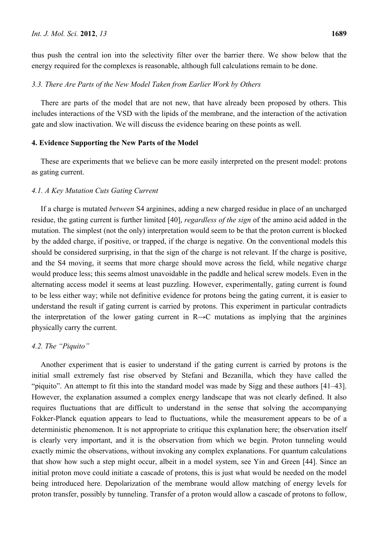thus push the central ion into the selectivity filter over the barrier there. We show below that the energy required for the complexes is reasonable, although full calculations remain to be done.

#### *3.3. There Are Parts of the New Model Taken from Earlier Work by Others*

There are parts of the model that are not new, that have already been proposed by others. This includes interactions of the VSD with the lipids of the membrane, and the interaction of the activation gate and slow inactivation. We will discuss the evidence bearing on these points as well.

#### **4. Evidence Supporting the New Parts of the Model**

These are experiments that we believe can be more easily interpreted on the present model: protons as gating current.

#### *4.1. A Key Mutation Cuts Gating Current*

If a charge is mutated *between* S4 arginines, adding a new charged residue in place of an uncharged residue, the gating current is further limited [40], *regardless of the sign* of the amino acid added in the mutation. The simplest (not the only) interpretation would seem to be that the proton current is blocked by the added charge, if positive, or trapped, if the charge is negative. On the conventional models this should be considered surprising, in that the sign of the charge is not relevant. If the charge is positive, and the S4 moving, it seems that more charge should move across the field, while negative charge would produce less; this seems almost unavoidable in the paddle and helical screw models. Even in the alternating access model it seems at least puzzling. However, experimentally, gating current is found to be less either way; while not definitive evidence for protons being the gating current, it is easier to understand the result if gating current is carried by protons. This experiment in particular contradicts the interpretation of the lower gating current in  $R\rightarrow C$  mutations as implying that the arginines physically carry the current.

#### *4.2. The "Piquito"*

Another experiment that is easier to understand if the gating current is carried by protons is the initial small extremely fast rise observed by Stefani and Bezanilla, which they have called the "piquito". An attempt to fit this into the standard model was made by Sigg and these authors [41–43]. However, the explanation assumed a complex energy landscape that was not clearly defined. It also requires fluctuations that are difficult to understand in the sense that solving the accompanying Fokker-Planck equation appears to lead to fluctuations, while the measurement appears to be of a deterministic phenomenon. It is not appropriate to critique this explanation here; the observation itself is clearly very important, and it is the observation from which we begin. Proton tunneling would exactly mimic the observations, without invoking any complex explanations. For quantum calculations that show how such a step might occur, albeit in a model system, see Yin and Green [44]. Since an initial proton move could initiate a cascade of protons, this is just what would be needed on the model being introduced here. Depolarization of the membrane would allow matching of energy levels for proton transfer, possibly by tunneling. Transfer of a proton would allow a cascade of protons to follow,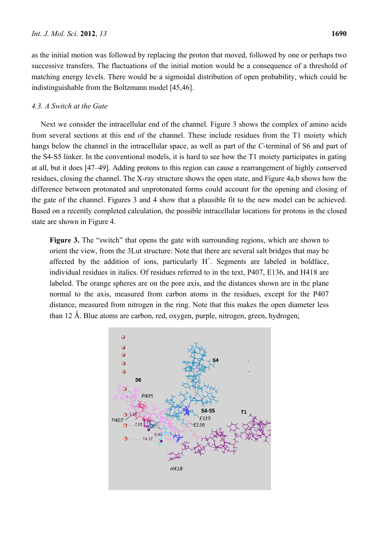as the initial motion was followed by replacing the proton that moved, followed by one or perhaps two successive transfers. The fluctuations of the initial motion would be a consequence of a threshold of matching energy levels. There would be a sigmoidal distribution of open probability, which could be indistinguishable from the Boltzmann model [45,46].

## *4.3. A Switch at the Gate*

Next we consider the intracellular end of the channel. Figure 3 shows the complex of amino acids from several sections at this end of the channel. These include residues from the T1 moiety which hangs below the channel in the intracellular space, as well as part of the *C*-terminal of S6 and part of the S4-S5 linker. In the conventional models, it is hard to see how the T1 moiety participates in gating at all, but it does [47–49]. Adding protons to this region can cause a rearrangement of highly conserved residues, closing the channel. The X-ray structure shows the open state, and Figure 4a,b shows how the difference between protonated and unprotonated forms could account for the opening and closing of the gate of the channel. Figures 3 and 4 show that a plausible fit to the new model can be achieved. Based on a recently completed calculation, the possible intracellular locations for protons in the closed state are shown in Figure 4.

**Figure 3.** The "switch" that opens the gate with surrounding regions, which are shown to orient the view, from the 3Lut structure: Note that there are several salt bridges that may be affected by the addition of ions, particularly  $H^+$ . Segments are labeled in boldface, individual residues in italics. Of residues referred to in the text, P407, E136, and H418 are labeled. The orange spheres are on the pore axis, and the distances shown are in the plane normal to the axis, measured from carbon atoms in the residues, except for the P407 distance, measured from nitrogen in the ring. Note that this makes the open diameter less than 12 Å. Blue atoms are carbon, red, oxygen, purple, nitrogen, green, hydrogen;

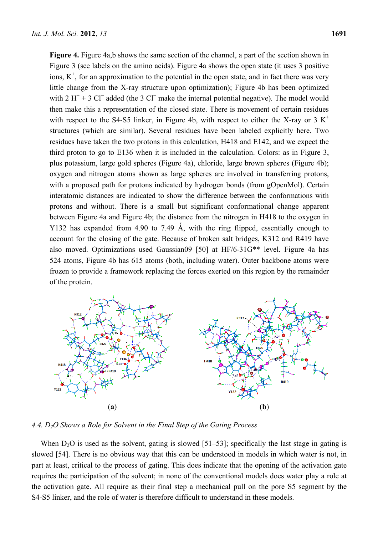**Figure 4.** Figure 4a,b shows the same section of the channel, a part of the section shown in Figure 3 (see labels on the amino acids). Figure 4a shows the open state (it uses 3 positive ions,  $K^+$ , for an approximation to the potential in the open state, and in fact there was very little change from the X-ray structure upon optimization); Figure 4b has been optimized with 2 H<sup>+</sup> + 3 Cl<sup>−</sup> added (the 3 Cl<sup>−</sup> make the internal potential negative). The model would then make this a representation of the closed state. There is movement of certain residues with respect to the S4-S5 linker, in Figure 4b, with respect to either the X-ray or 3  $K^+$ structures (which are similar). Several residues have been labeled explicitly here. Two residues have taken the two protons in this calculation, H418 and E142, and we expect the third proton to go to E136 when it is included in the calculation. Colors: as in Figure 3, plus potassium, large gold spheres (Figure 4a), chloride, large brown spheres (Figure 4b); oxygen and nitrogen atoms shown as large spheres are involved in transferring protons, with a proposed path for protons indicated by hydrogen bonds (from gOpenMol). Certain interatomic distances are indicated to show the difference between the conformations with protons and without. There is a small but significant conformational change apparent between Figure 4a and Figure 4b; the distance from the nitrogen in H418 to the oxygen in Y132 has expanded from 4.90 to 7.49 Å, with the ring flipped, essentially enough to account for the closing of the gate. Because of broken salt bridges, K312 and R419 have also moved. Optimizations used Gaussian09 [50] at HF/6-31G\*\* level. Figure 4a has 524 atoms, Figure 4b has 615 atoms (both, including water). Outer backbone atoms were frozen to provide a framework replacing the forces exerted on this region by the remainder of the protein.



*4.4. D2O Shows a Role for Solvent in the Final Step of the Gating Process* 

When  $D_2O$  is used as the solvent, gating is slowed [51–53]; specifically the last stage in gating is slowed [54]. There is no obvious way that this can be understood in models in which water is not, in part at least, critical to the process of gating. This does indicate that the opening of the activation gate requires the participation of the solvent; in none of the conventional models does water play a role at the activation gate. All require as their final step a mechanical pull on the pore S5 segment by the S4-S5 linker, and the role of water is therefore difficult to understand in these models.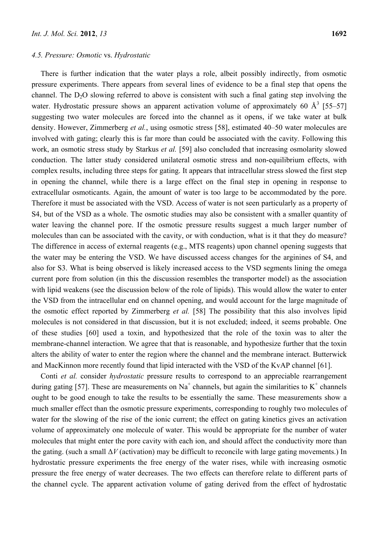#### *4.5. Pressure: Osmotic* vs. *Hydrostatic*

There is further indication that the water plays a role, albeit possibly indirectly, from osmotic pressure experiments. There appears from several lines of evidence to be a final step that opens the channel. The  $D_2O$  slowing referred to above is consistent with such a final gating step involving the water. Hydrostatic pressure shows an apparent activation volume of approximately 60  $\AA$ <sup>3</sup> [55–57] suggesting two water molecules are forced into the channel as it opens, if we take water at bulk density. However, Zimmerberg *et al.*, using osmotic stress [58], estimated 40–50 water molecules are involved with gating; clearly this is far more than could be associated with the cavity. Following this work, an osmotic stress study by Starkus *et al.* [59] also concluded that increasing osmolarity slowed conduction. The latter study considered unilateral osmotic stress and non-equilibrium effects, with complex results, including three steps for gating. It appears that intracellular stress slowed the first step in opening the channel, while there is a large effect on the final step in opening in response to extracellular osmoticants. Again, the amount of water is too large to be accommodated by the pore. Therefore it must be associated with the VSD. Access of water is not seen particularly as a property of S4, but of the VSD as a whole. The osmotic studies may also be consistent with a smaller quantity of water leaving the channel pore. If the osmotic pressure results suggest a much larger number of molecules than can be associated with the cavity, or with conduction, what is it that they do measure? The difference in access of external reagents (e.g., MTS reagents) upon channel opening suggests that the water may be entering the VSD. We have discussed access changes for the arginines of S4, and also for S3. What is being observed is likely increased access to the VSD segments lining the omega current pore from solution (in this the discussion resembles the transporter model) as the association with lipid weakens (see the discussion below of the role of lipids). This would allow the water to enter the VSD from the intracellular end on channel opening, and would account for the large magnitude of the osmotic effect reported by Zimmerberg *et al.* [58] The possibility that this also involves lipid molecules is not considered in that discussion, but it is not excluded; indeed, it seems probable. One of these studies [60] used a toxin, and hypothesized that the role of the toxin was to alter the membrane-channel interaction. We agree that that is reasonable, and hypothesize further that the toxin alters the ability of water to enter the region where the channel and the membrane interact. Butterwick and MacKinnon more recently found that lipid interacted with the VSD of the KvAP channel [61].

Conti *et al.* consider *hydrostatic* pressure results to correspond to an appreciable rearrangement during gating [57]. These are measurements on  $Na<sup>+</sup>$  channels, but again the similarities to  $K<sup>+</sup>$  channels ought to be good enough to take the results to be essentially the same. These measurements show a much smaller effect than the osmotic pressure experiments, corresponding to roughly two molecules of water for the slowing of the rise of the ionic current; the effect on gating kinetics gives an activation volume of approximately one molecule of water. This would be appropriate for the number of water molecules that might enter the pore cavity with each ion, and should affect the conductivity more than the gating. (such a small  $\Delta V$  (activation) may be difficult to reconcile with large gating movements.) In hydrostatic pressure experiments the free energy of the water rises, while with increasing osmotic pressure the free energy of water decreases. The two effects can therefore relate to different parts of the channel cycle. The apparent activation volume of gating derived from the effect of hydrostatic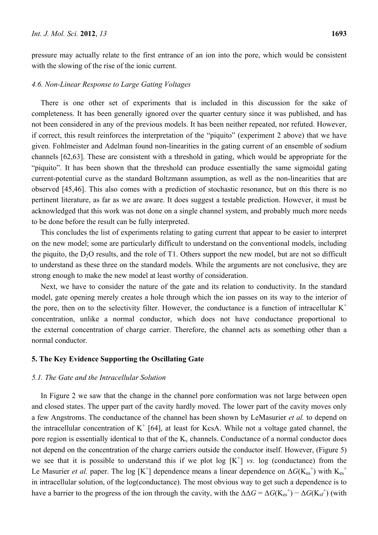pressure may actually relate to the first entrance of an ion into the pore, which would be consistent with the slowing of the rise of the ionic current.

#### *4.6. Non-Linear Response to Large Gating Voltages*

There is one other set of experiments that is included in this discussion for the sake of completeness. It has been generally ignored over the quarter century since it was published, and has not been considered in any of the previous models. It has been neither repeated, nor refuted. However, if correct, this result reinforces the interpretation of the "piquito" (experiment 2 above) that we have given. Fohlmeister and Adelman found non-linearities in the gating current of an ensemble of sodium channels [62,63]. These are consistent with a threshold in gating, which would be appropriate for the "piquito". It has been shown that the threshold can produce essentially the same sigmoidal gating current-potential curve as the standard Boltzmann assumption, as well as the non-linearities that are observed [45,46]. This also comes with a prediction of stochastic resonance, but on this there is no pertinent literature, as far as we are aware. It does suggest a testable prediction. However, it must be acknowledged that this work was not done on a single channel system, and probably much more needs to be done before the result can be fully interpreted.

This concludes the list of experiments relating to gating current that appear to be easier to interpret on the new model; some are particularly difficult to understand on the conventional models, including the piquito, the  $D_2O$  results, and the role of T1. Others support the new model, but are not so difficult to understand as these three on the standard models. While the arguments are not conclusive, they are strong enough to make the new model at least worthy of consideration.

Next, we have to consider the nature of the gate and its relation to conductivity. In the standard model, gate opening merely creates a hole through which the ion passes on its way to the interior of the pore, then on to the selectivity filter. However, the conductance is a function of intracellular  $K^+$ concentration, unlike a normal conductor, which does not have conductance proportional to the external concentration of charge carrier. Therefore, the channel acts as something other than a normal conductor.

#### **5. The Key Evidence Supporting the Oscillating Gate**

#### *5.1. The Gate and the Intracellular Solution*

In Figure 2 we saw that the change in the channel pore conformation was not large between open and closed states. The upper part of the cavity hardly moved. The lower part of the cavity moves only a few Angstroms. The conductance of the channel has been shown by LeMasurier *et al.* to depend on the intracellular concentration of  $K^+$  [64], at least for KcsA. While not a voltage gated channel, the pore region is essentially identical to that of the  $K_v$  channels. Conductance of a normal conductor does not depend on the concentration of the charge carriers outside the conductor itself. However, (Figure 5) we see that it is possible to understand this if we plot  $log [K^+]$  *vs.* log (conductance) from the Le Masurier *et al.* paper. The log [K<sup>+</sup>] dependence means a linear dependence on  $\Delta G(K_{\rm es}^+)$  with  $K_{\rm es}^+$ in intracellular solution, of the log(conductance). The most obvious way to get such a dependence is to have a barrier to the progress of the ion through the cavity, with the  $\Delta\Delta G = \Delta G(K_{\rm es}^+) - \Delta G(K_{\rm sf}^+)$  (with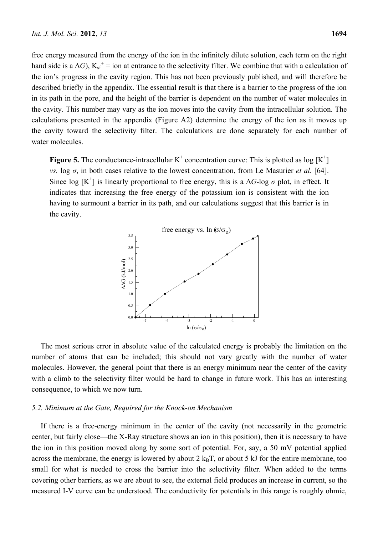free energy measured from the energy of the ion in the infinitely dilute solution, each term on the right hand side is a  $\Delta G$ ),  $K_{sf}^+$  = ion at entrance to the selectivity filter. We combine that with a calculation of the ion's progress in the cavity region. This has not been previously published, and will therefore be described briefly in the appendix. The essential result is that there is a barrier to the progress of the ion in its path in the pore, and the height of the barrier is dependent on the number of water molecules in the cavity. This number may vary as the ion moves into the cavity from the intracellular solution. The calculations presented in the appendix (Figure A2) determine the energy of the ion as it moves up the cavity toward the selectivity filter. The calculations are done separately for each number of water molecules

**Figure 5.** The conductance-intracellular  $K^+$  concentration curve: This is plotted as log  $[K^+]$ *vs.* log  $\sigma$ , in both cases relative to the lowest concentration, from Le Masurier *et al.* [64]. Since log  $[K^+]$  is linearly proportional to free energy, this is a  $\Delta G$ -log  $\sigma$  plot, in effect. It indicates that increasing the free energy of the potassium ion is consistent with the ion having to surmount a barrier in its path, and our calculations suggest that this barrier is in the cavity.



The most serious error in absolute value of the calculated energy is probably the limitation on the number of atoms that can be included; this should not vary greatly with the number of water molecules. However, the general point that there is an energy minimum near the center of the cavity with a climb to the selectivity filter would be hard to change in future work. This has an interesting consequence, to which we now turn.

### *5.2. Minimum at the Gate, Required for the Knock-on Mechanism*

If there is a free-energy minimum in the center of the cavity (not necessarily in the geometric center, but fairly close—the X-Ray structure shows an ion in this position), then it is necessary to have the ion in this position moved along by some sort of potential. For, say, a 50 mV potential applied across the membrane, the energy is lowered by about 2  $k_BT$ , or about 5 kJ for the entire membrane, too small for what is needed to cross the barrier into the selectivity filter. When added to the terms covering other barriers, as we are about to see, the external field produces an increase in current, so the measured I-V curve can be understood. The conductivity for potentials in this range is roughly ohmic,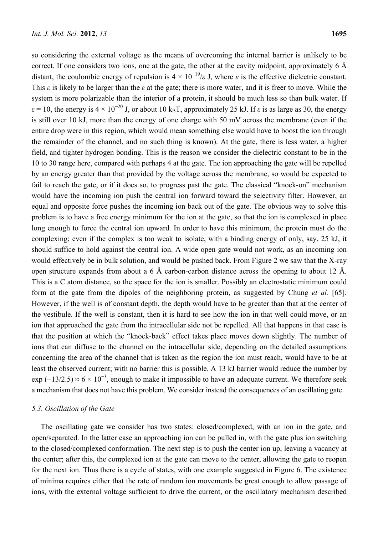so considering the external voltage as the means of overcoming the internal barrier is unlikely to be correct. If one considers two ions, one at the gate, the other at the cavity midpoint, approximately 6  $\AA$ distant, the coulombic energy of repulsion is  $4 \times 10^{-19}/\epsilon$  J, where  $\epsilon$  is the effective dielectric constant. This *ε* is likely to be larger than the *ε* at the gate; there is more water, and it is freer to move. While the system is more polarizable than the interior of a protein, it should be much less so than bulk water. If  $\varepsilon$  = 10, the energy is 4 × 10<sup>-20</sup> J, or about 10 k<sub>B</sub>T, approximately 25 kJ. If  $\varepsilon$  is as large as 30, the energy is still over 10 kJ, more than the energy of one charge with 50 mV across the membrane (even if the entire drop were in this region, which would mean something else would have to boost the ion through the remainder of the channel, and no such thing is known). At the gate, there is less water, a higher field, and tighter hydrogen bonding. This is the reason we consider the dielectric constant to be in the 10 to 30 range here, compared with perhaps 4 at the gate. The ion approaching the gate will be repelled by an energy greater than that provided by the voltage across the membrane, so would be expected to fail to reach the gate, or if it does so, to progress past the gate. The classical "knock-on" mechanism would have the incoming ion push the central ion forward toward the selectivity filter. However, an equal and opposite force pushes the incoming ion back out of the gate. The obvious way to solve this problem is to have a free energy minimum for the ion at the gate, so that the ion is complexed in place long enough to force the central ion upward. In order to have this minimum, the protein must do the complexing; even if the complex is too weak to isolate, with a binding energy of only, say, 25 kJ, it should suffice to hold against the central ion. A wide open gate would not work, as an incoming ion would effectively be in bulk solution, and would be pushed back. From Figure 2 we saw that the X-ray open structure expands from about a 6 Å carbon-carbon distance across the opening to about 12 Å. This is a C atom distance, so the space for the ion is smaller. Possibly an electrostatic minimum could form at the gate from the dipoles of the neighboring protein, as suggested by Chung *et al.* [65]. However, if the well is of constant depth, the depth would have to be greater than that at the center of the vestibule. If the well is constant, then it is hard to see how the ion in that well could move, or an ion that approached the gate from the intracellular side not be repelled. All that happens in that case is that the position at which the "knock-back" effect takes place moves down slightly. The number of ions that can diffuse to the channel on the intracellular side, depending on the detailed assumptions concerning the area of the channel that is taken as the region the ion must reach, would have to be at least the observed current; with no barrier this is possible. A 13 kJ barrier would reduce the number by  $\exp(-13/2.5) \approx 6 \times 10^{-3}$ , enough to make it impossible to have an adequate current. We therefore seek a mechanism that does not have this problem. We consider instead the consequences of an oscillating gate.

#### *5.3. Oscillation of the Gate*

The oscillating gate we consider has two states: closed/complexed, with an ion in the gate, and open/separated. In the latter case an approaching ion can be pulled in, with the gate plus ion switching to the closed/complexed conformation. The next step is to push the center ion up, leaving a vacancy at the center; after this, the complexed ion at the gate can move to the center, allowing the gate to reopen for the next ion. Thus there is a cycle of states, with one example suggested in Figure 6. The existence of minima requires either that the rate of random ion movements be great enough to allow passage of ions, with the external voltage sufficient to drive the current, or the oscillatory mechanism described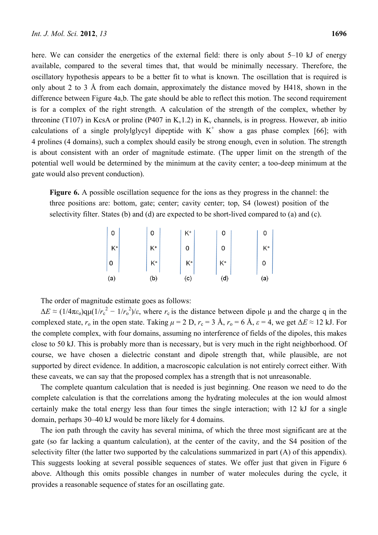here. We can consider the energetics of the external field: there is only about 5–10 kJ of energy available, compared to the several times that, that would be minimally necessary. Therefore, the oscillatory hypothesis appears to be a better fit to what is known. The oscillation that is required is only about 2 to 3 Å from each domain, approximately the distance moved by H418, shown in the difference between Figure 4a,b. The gate should be able to reflect this motion. The second requirement is for a complex of the right strength. A calculation of the strength of the complex, whether by threonine (T107) in KcsA or proline (P407 in  $K_v1.2$ ) in  $K_v$  channels, is in progress. However, ab initio calculations of a single prolylglycyl dipeptide with  $K^+$  show a gas phase complex [66]; with 4 prolines (4 domains), such a complex should easily be strong enough, even in solution. The strength is about consistent with an order of magnitude estimate. (The upper limit on the strength of the potential well would be determined by the minimum at the cavity center; a too-deep minimum at the gate would also prevent conduction).

**Figure 6.** A possible oscillation sequence for the ions as they progress in the channel: the three positions are: bottom, gate; center; cavity center; top, S4 (lowest) position of the selectivity filter. States (b) and (d) are expected to be short-lived compared to (a) and (c).

$$
\begin{array}{|c|c|c|c|c|} \hline 0 & & 0 & & & K^* \\ \hline K^* & & & & & 0 \\ 0 & & & & K^* & & & 0 \\ (a) & & & & & & 0 \\ \hline \end{array}
$$

The order of magnitude estimate goes as follows:

 $\sim$ 

 $\Delta E \approx (1/4\pi\epsilon_0) q \mu (1/r_c^2 - 1/r_o^2)/\epsilon$ , where  $r_c$  is the distance between dipole  $\mu$  and the charge q in the complexed state,  $r_0$  in the open state. Taking  $\mu = 2$  D,  $r_c = 3$  Å,  $r_0 = 6$  Å,  $\varepsilon = 4$ , we get  $\Delta E \approx 12$  kJ. For the complete complex, with four domains, assuming no interference of fields of the dipoles, this makes close to 50 kJ. This is probably more than is necessary, but is very much in the right neighborhood. Of course, we have chosen a dielectric constant and dipole strength that, while plausible, are not supported by direct evidence. In addition, a macroscopic calculation is not entirely correct either. With these caveats, we can say that the proposed complex has a strength that is not unreasonable.

The complete quantum calculation that is needed is just beginning. One reason we need to do the complete calculation is that the correlations among the hydrating molecules at the ion would almost certainly make the total energy less than four times the single interaction; with 12 kJ for a single domain, perhaps 30–40 kJ would be more likely for 4 domains.

The ion path through the cavity has several minima, of which the three most significant are at the gate (so far lacking a quantum calculation), at the center of the cavity, and the S4 position of the selectivity filter (the latter two supported by the calculations summarized in part (A) of this appendix). This suggests looking at several possible sequences of states. We offer just that given in Figure 6 above. Although this omits possible changes in number of water molecules during the cycle, it provides a reasonable sequence of states for an oscillating gate.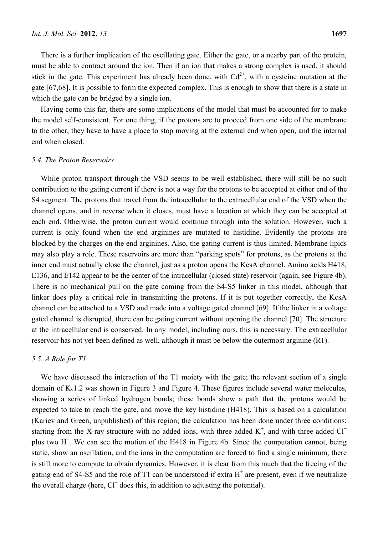There is a further implication of the oscillating gate. Either the gate, or a nearby part of the protein, must be able to contract around the ion. Then if an ion that makes a strong complex is used, it should stick in the gate. This experiment has already been done, with  $Cd^{2+}$ , with a cysteine mutation at the gate [67,68]. It is possible to form the expected complex. This is enough to show that there is a state in which the gate can be bridged by a single ion.

Having come this far, there are some implications of the model that must be accounted for to make the model self-consistent. For one thing, if the protons are to proceed from one side of the membrane to the other, they have to have a place to stop moving at the external end when open, and the internal end when closed.

#### *5.4. The Proton Reservoirs*

While proton transport through the VSD seems to be well established, there will still be no such contribution to the gating current if there is not a way for the protons to be accepted at either end of the S4 segment. The protons that travel from the intracellular to the extracellular end of the VSD when the channel opens, and in reverse when it closes, must have a location at which they can be accepted at each end. Otherwise, the proton current would continue through into the solution. However, such a current is only found when the end arginines are mutated to histidine. Evidently the protons are blocked by the charges on the end arginines. Also, the gating current is thus limited. Membrane lipids may also play a role. These reservoirs are more than "parking spots" for protons, as the protons at the inner end must actually close the channel, just as a proton opens the KcsA channel. Amino acids H418, E136, and E142 appear to be the center of the intracellular (closed state) reservoir (again, see Figure 4b). There is no mechanical pull on the gate coming from the S4-S5 linker in this model, although that linker does play a critical role in transmitting the protons. If it is put together correctly, the KcsA channel can be attached to a VSD and made into a voltage gated channel [69]. If the linker in a voltage gated channel is disrupted, there can be gating current without opening the channel [70]. The structure at the intracellular end is conserved. In any model, including ours, this is necessary. The extracellular reservoir has not yet been defined as well, although it must be below the outermost arginine (R1).

## *5.5. A Role for T1*

We have discussed the interaction of the T1 moiety with the gate; the relevant section of a single domain of  $K_v 1.2$  was shown in Figure 3 and Figure 4. These figures include several water molecules, showing a series of linked hydrogen bonds; these bonds show a path that the protons would be expected to take to reach the gate, and move the key histidine (H418). This is based on a calculation (Kariev and Green, unpublished) of this region; the calculation has been done under three conditions: starting from the X-ray structure with no added ions, with three added  $K^+$ , and with three added  $Cl^$ plus two  $H^+$ . We can see the motion of the H418 in Figure 4b. Since the computation cannot, being static, show an oscillation, and the ions in the computation are forced to find a single minimum, there is still more to compute to obtain dynamics. However, it is clear from this much that the freeing of the gating end of S4-S5 and the role of T1 can be understood if extra  $H^+$  are present, even if we neutralize the overall charge (here, Cl<sup>−</sup> does this, in addition to adjusting the potential).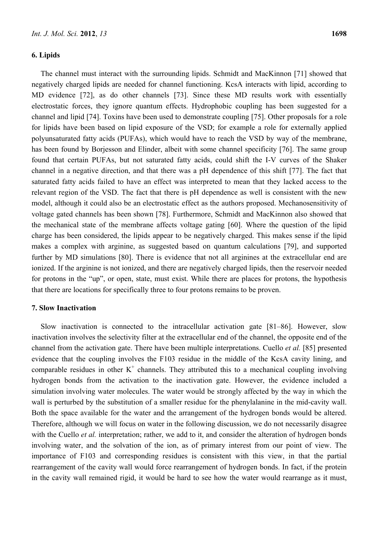#### **6. Lipids**

The channel must interact with the surrounding lipids. Schmidt and MacKinnon [71] showed that negatively charged lipids are needed for channel functioning. KcsA interacts with lipid, according to MD evidence [72], as do other channels [73]. Since these MD results work with essentially electrostatic forces, they ignore quantum effects. Hydrophobic coupling has been suggested for a channel and lipid [74]. Toxins have been used to demonstrate coupling [75]. Other proposals for a role for lipids have been based on lipid exposure of the VSD; for example a role for externally applied polyunsaturated fatty acids (PUFAs), which would have to reach the VSD by way of the membrane, has been found by Borjesson and Elinder, albeit with some channel specificity [76]. The same group found that certain PUFAs, but not saturated fatty acids, could shift the I-V curves of the Shaker channel in a negative direction, and that there was a pH dependence of this shift [77]. The fact that saturated fatty acids failed to have an effect was interpreted to mean that they lacked access to the relevant region of the VSD. The fact that there is pH dependence as well is consistent with the new model, although it could also be an electrostatic effect as the authors proposed. Mechanosensitivity of voltage gated channels has been shown [78]. Furthermore, Schmidt and MacKinnon also showed that the mechanical state of the membrane affects voltage gating [60]. Where the question of the lipid charge has been considered, the lipids appear to be negatively charged. This makes sense if the lipid makes a complex with arginine, as suggested based on quantum calculations [79], and supported further by MD simulations [80]. There is evidence that not all arginines at the extracellular end are ionized. If the arginine is not ionized, and there are negatively charged lipids, then the reservoir needed for protons in the "up", or open, state, must exist. While there are places for protons, the hypothesis that there are locations for specifically three to four protons remains to be proven.

#### **7. Slow Inactivation**

Slow inactivation is connected to the intracellular activation gate [81–86]. However, slow inactivation involves the selectivity filter at the extracellular end of the channel, the opposite end of the channel from the activation gate. There have been multiple interpretations. Cuello *et al.* [85] presented evidence that the coupling involves the F103 residue in the middle of the KcsA cavity lining, and comparable residues in other  $K^+$  channels. They attributed this to a mechanical coupling involving hydrogen bonds from the activation to the inactivation gate. However, the evidence included a simulation involving water molecules. The water would be strongly affected by the way in which the wall is perturbed by the substitution of a smaller residue for the phenylalanine in the mid-cavity wall. Both the space available for the water and the arrangement of the hydrogen bonds would be altered. Therefore, although we will focus on water in the following discussion, we do not necessarily disagree with the Cuello *et al.* interpretation; rather, we add to it, and consider the alteration of hydrogen bonds involving water, and the solvation of the ion, as of primary interest from our point of view. The importance of F103 and corresponding residues is consistent with this view, in that the partial rearrangement of the cavity wall would force rearrangement of hydrogen bonds. In fact, if the protein in the cavity wall remained rigid, it would be hard to see how the water would rearrange as it must,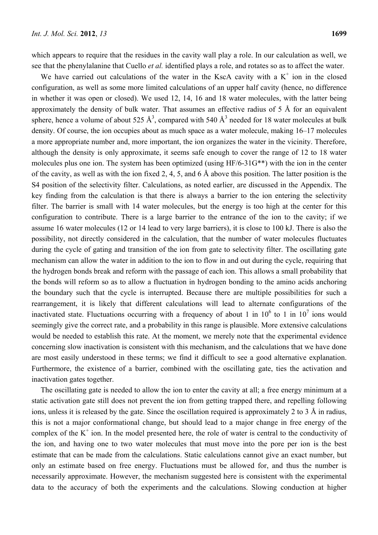which appears to require that the residues in the cavity wall play a role. In our calculation as well, we see that the phenylalanine that Cuello *et al.* identified plays a role, and rotates so as to affect the water.

We have carried out calculations of the water in the KscA cavity with a  $K^+$  ion in the closed configuration, as well as some more limited calculations of an upper half cavity (hence, no difference in whether it was open or closed). We used 12, 14, 16 and 18 water molecules, with the latter being approximately the density of bulk water. That assumes an effective radius of 5 Å for an equivalent sphere, hence a volume of about 525  $\mathring{A}^3$ , compared with 540  $\mathring{A}^3$  needed for 18 water molecules at bulk density. Of course, the ion occupies about as much space as a water molecule, making 16–17 molecules a more appropriate number and, more important, the ion organizes the water in the vicinity. Therefore, although the density is only approximate, it seems safe enough to cover the range of 12 to 18 water molecules plus one ion. The system has been optimized (using HF/6-31G\*\*) with the ion in the center of the cavity, as well as with the ion fixed 2, 4, 5, and 6 Å above this position. The latter position is the S4 position of the selectivity filter. Calculations, as noted earlier, are discussed in the Appendix. The key finding from the calculation is that there is always a barrier to the ion entering the selectivity filter. The barrier is small with 14 water molecules, but the energy is too high at the center for this configuration to contribute. There is a large barrier to the entrance of the ion to the cavity; if we assume 16 water molecules (12 or 14 lead to very large barriers), it is close to 100 kJ. There is also the possibility, not directly considered in the calculation, that the number of water molecules fluctuates during the cycle of gating and transition of the ion from gate to selectivity filter. The oscillating gate mechanism can allow the water in addition to the ion to flow in and out during the cycle, requiring that the hydrogen bonds break and reform with the passage of each ion. This allows a small probability that the bonds will reform so as to allow a fluctuation in hydrogen bonding to the amino acids anchoring the boundary such that the cycle is interrupted. Because there are multiple possibilities for such a rearrangement, it is likely that different calculations will lead to alternate configurations of the inactivated state. Fluctuations occurring with a frequency of about 1 in  $10^6$  to 1 in  $10^7$  ions would seemingly give the correct rate, and a probability in this range is plausible. More extensive calculations would be needed to establish this rate. At the moment, we merely note that the experimental evidence concerning slow inactivation is consistent with this mechanism, and the calculations that we have done are most easily understood in these terms; we find it difficult to see a good alternative explanation. Furthermore, the existence of a barrier, combined with the oscillating gate, ties the activation and inactivation gates together.

The oscillating gate is needed to allow the ion to enter the cavity at all; a free energy minimum at a static activation gate still does not prevent the ion from getting trapped there, and repelling following ions, unless it is released by the gate. Since the oscillation required is approximately 2 to 3 Å in radius, this is not a major conformational change, but should lead to a major change in free energy of the complex of the  $K^+$  ion. In the model presented here, the role of water is central to the conductivity of the ion, and having one to two water molecules that must move into the pore per ion is the best estimate that can be made from the calculations. Static calculations cannot give an exact number, but only an estimate based on free energy. Fluctuations must be allowed for, and thus the number is necessarily approximate. However, the mechanism suggested here is consistent with the experimental data to the accuracy of both the experiments and the calculations. Slowing conduction at higher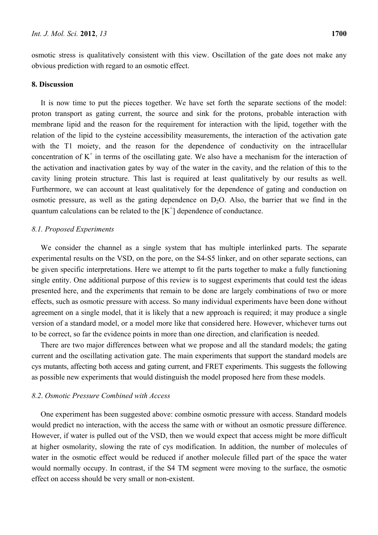osmotic stress is qualitatively consistent with this view. Oscillation of the gate does not make any obvious prediction with regard to an osmotic effect.

#### **8. Discussion**

It is now time to put the pieces together. We have set forth the separate sections of the model: proton transport as gating current, the source and sink for the protons, probable interaction with membrane lipid and the reason for the requirement for interaction with the lipid, together with the relation of the lipid to the cysteine accessibility measurements, the interaction of the activation gate with the T1 moiety, and the reason for the dependence of conductivity on the intracellular concentration of  $K^+$  in terms of the oscillating gate. We also have a mechanism for the interaction of the activation and inactivation gates by way of the water in the cavity, and the relation of this to the cavity lining protein structure. This last is required at least qualitatively by our results as well. Furthermore, we can account at least qualitatively for the dependence of gating and conduction on osmotic pressure, as well as the gating dependence on  $D_2O$ . Also, the barrier that we find in the quantum calculations can be related to the  $[K^+]$  dependence of conductance.

#### *8.1. Proposed Experiments*

We consider the channel as a single system that has multiple interlinked parts. The separate experimental results on the VSD, on the pore, on the S4-S5 linker, and on other separate sections, can be given specific interpretations. Here we attempt to fit the parts together to make a fully functioning single entity. One additional purpose of this review is to suggest experiments that could test the ideas presented here, and the experiments that remain to be done are largely combinations of two or more effects, such as osmotic pressure with access. So many individual experiments have been done without agreement on a single model, that it is likely that a new approach is required; it may produce a single version of a standard model, or a model more like that considered here. However, whichever turns out to be correct, so far the evidence points in more than one direction, and clarification is needed.

There are two major differences between what we propose and all the standard models; the gating current and the oscillating activation gate. The main experiments that support the standard models are cys mutants, affecting both access and gating current, and FRET experiments. This suggests the following as possible new experiments that would distinguish the model proposed here from these models.

#### *8.2*. *Osmotic Pressure Combined with Access*

One experiment has been suggested above: combine osmotic pressure with access. Standard models would predict no interaction, with the access the same with or without an osmotic pressure difference. However, if water is pulled out of the VSD, then we would expect that access might be more difficult at higher osmolarity, slowing the rate of cys modification. In addition, the number of molecules of water in the osmotic effect would be reduced if another molecule filled part of the space the water would normally occupy. In contrast, if the S4 TM segment were moving to the surface, the osmotic effect on access should be very small or non-existent.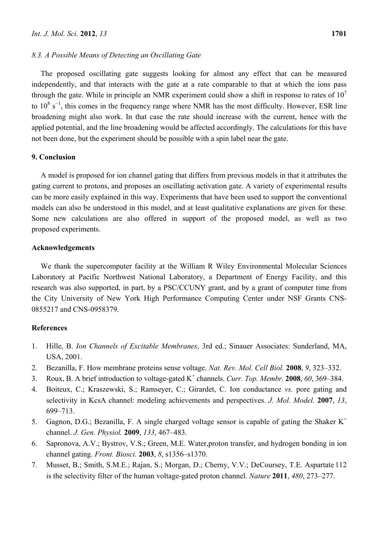#### *8.3. A Possible Means of Detecting an Oscillating Gate*

The proposed oscillating gate suggests looking for almost any effect that can be measured independently, and that interacts with the gate at a rate comparable to that at which the ions pass through the gate. While in principle an NMR experiment could show a shift in response to rates of  $10<sup>7</sup>$ to  $10^8$  s<sup>-1</sup>, this comes in the frequency range where NMR has the most difficulty. However, ESR line broadening might also work. In that case the rate should increase with the current, hence with the

applied potential, and the line broadening would be affected accordingly. The calculations for this have not been done, but the experiment should be possible with a spin label near the gate.

## **9. Conclusion**

A model is proposed for ion channel gating that differs from previous models in that it attributes the gating current to protons, and proposes an oscillating activation gate. A variety of experimental results can be more easily explained in this way. Experiments that have been used to support the conventional models can also be understood in this model, and at least qualitative explanations are given for these. Some new calculations are also offered in support of the proposed model, as well as two proposed experiments.

#### **Acknowledgements**

We thank the supercomputer facility at the William R Wiley Environmental Molecular Sciences Laboratory at Pacific Northwest National Laboratory, a Department of Energy Facility, and this research was also supported, in part, by a PSC/CCUNY grant, and by a grant of computer time from the City University of New York High Performance Computing Center under NSF Grants CNS-0855217 and CNS-0958379.

#### **References**

- 1. Hille, B. *Ion Channels of Excitable Membranes*, 3rd ed.; Sinauer Associates: Sunderland, MA, USA, 2001.
- 2. Bezanilla, F. How membrane proteins sense voltage. *Nat. Rev. Mol. Cell Biol.* **2008**, *9*, 323–332.
- 3. Roux, B. A brief introduction to voltage-gated K+ channels. *Curr. Top. Membr.* **2008**, *60*, 369–384.
- 4. Boiteux, C.; Kraszewski, S.; Ramseyer, C.; Girardet, C. Ion conductance *vs.* pore gating and selectivity in KcsA channel: modeling achievements and perspectives. *J. Mol. Model.* **2007**, *13*, 699–713.
- 5. Gagnon, D.G.; Bezanilla, F. A single charged voltage sensor is capable of gating the Shaker  $K^+$ channel. *J. Gen. Physiol.* **2009**, *133*, 467–483.
- 6. Sapronova, A.V.; Bystrov, V.S.; Green, M.E. Water,proton transfer, and hydrogen bonding in ion channel gating. *Front. Biosci.* **2003**, *8*, s1356–s1370.
- 7. Musset, B.; Smith, S.M.E.; Rajan, S.; Morgan, D.; Cherny, V.V.; DeCoursey, T.E. Aspartate 112 is the selectivity filter of the human voltage-gated proton channel. *Nature* **2011**, *480*, 273–277.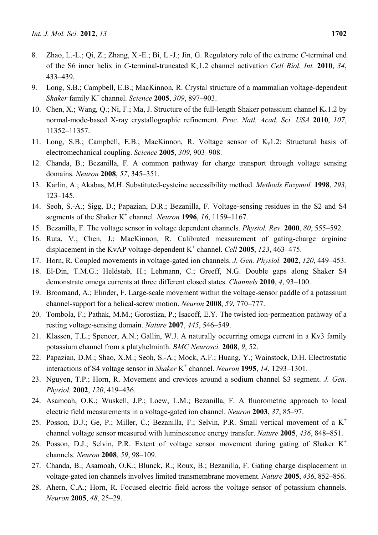- 8. Zhao, L.-L.; Qi, Z.; Zhang, X.-E.; Bi, L.-J.; Jin, G. Regulatory role of the extreme *C*-terminal end of the S6 inner helix in *C*-terminal-truncated Kv1.2 channel activation *Cell Biol. Int.* **2010**, *34*, 433–439.
- 9. Long, S.B.; Campbell, E.B.; MacKinnon, R. Crystal structure of a mammalian voltage-dependent *Shaker* family K+ channel. *Science* **2005**, *309*, 897–903.
- 10. Chen, X.; Wang, Q.; Ni, F.; Ma, J. Structure of the full-length Shaker potassium channel  $K_v1.2$  by normal-mode-based X-ray crystallographic refinement. *Proc. Natl. Acad. Sci. USA* **2010**, *107*, 11352–11357.
- 11. Long, S.B.; Campbell, E.B.; MacKinnon, R. Voltage sensor of  $K_v1.2$ : Structural basis of electromechanical coupling. *Science* **2005**, *309*, 903–908.
- 12. Chanda, B.; Bezanilla, F. A common pathway for charge transport through voltage sensing domains. *Neuron* **2008**, *57*, 345–351.
- 13. Karlin, A.; Akabas, M.H. Substituted-cysteine accessibility method. *Methods Enzymol.* **1998**, *293*, 123–145.
- 14. Seoh, S.-A.; Sigg, D.; Papazian, D.R.; Bezanilla, F. Voltage-sensing residues in the S2 and S4 segments of the Shaker K<sup>+</sup> channel. *Neuron* **1996**, *16*, 1159–1167.
- 15. Bezanilla, F. The voltage sensor in voltage dependent channels. *Physiol. Rev.* **2000**, *80*, 555–592.
- 16. Ruta, V.; Chen, J.; MacKinnon, R. Calibrated measurement of gating-charge arginine displacement in the KvAP voltage-dependent  $K^+$  channel. *Cell* **2005**, *123*, 463–475.
- 17. Horn, R. Coupled movements in voltage-gated ion channels. *J. Gen. Physiol.* **2002**, *120*, 449–453.
- 18. El-Din, T.M.G.; Heldstab, H.; Lehmann, C.; Greeff, N.G. Double gaps along Shaker S4 demonstrate omega currents at three different closed states. *Channels* **2010**, *4*, 93–100.
- 19. Broomand, A.; Elinder, F. Large-scale movement within the voltage-sensor paddle of a potassium channel-support for a helical-screw motion. *Neuron* **2008**, *59*, 770–777.
- 20. Tombola, F.; Pathak, M.M.; Gorostiza, P.; Isacoff, E.Y. The twisted ion-permeation pathway of a resting voltage-sensing domain. *Nature* **2007**, *445*, 546–549.
- 21. Klassen, T.L.; Spencer, A.N.; Gallin, W.J. A naturally occurring omega current in a Kv3 family potassium channel from a platyhelminth. *BMC Neurosci.* **2008**, *9*, 52.
- 22. Papazian, D.M.; Shao, X.M.; Seoh, S.-A.; Mock, A.F.; Huang, Y.; Wainstock, D.H. Electrostatic interactions of S4 voltage sensor in *Shaker* K<sup>+</sup> channel. *Neuron* **1995**, *14*, 1293–1301.
- 23. Nguyen, T.P.; Horn, R. Movement and crevices around a sodium channel S3 segment. *J. Gen. Physiol.* **2002**, *120*, 419–436.
- 24. Asamoah, O.K.; Wuskell, J.P.; Loew, L.M.; Bezanilla, F. A fluorometric approach to local electric field measurements in a voltage-gated ion channel. *Neuron* **2003**, *37*, 85–97.
- 25. Posson, D.J.; Ge, P.; Miller, C.; Bezanilla, F.; Selvin, P.R. Small vertical movement of a  $K^+$ channel voltage sensor measured with luminescence energy transfer. *Nature* **2005**, *436*, 848–851.
- 26. Posson, D.J.; Selvin, P.R. Extent of voltage sensor movement during gating of Shaker  $K^+$ channels. *Neuron* **2008**, *59*, 98–109.
- 27. Chanda, B.; Asamoah, O.K.; Blunck, R.; Roux, B.; Bezanilla, F. Gating charge displacement in voltage-gated ion channels involves limited transmembrane movement. *Nature* **2005**, *436*, 852–856.
- 28. Ahern, C.A.; Horn, R. Focused electric field across the voltage sensor of potassium channels. *Neuron* **2005**, *48*, 25–29.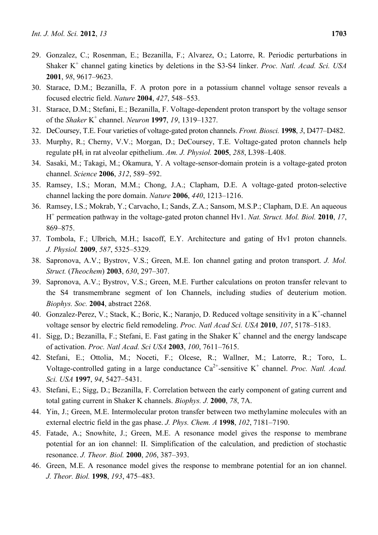- 29. Gonzalez, C.; Rosenman, E.; Bezanilla, F.; Alvarez, O.; Latorre, R. Periodic perturbations in Shaker K<sup>+</sup> channel gating kinetics by deletions in the S3-S4 linker. *Proc. Natl. Acad. Sci. USA* **2001**, *98*, 9617–9623.
- 30. Starace, D.M.; Bezanilla, F. A proton pore in a potassium channel voltage sensor reveals a focused electric field. *Nature* **2004**, *427*, 548–553.
- 31. Starace, D.M.; Stefani, E.; Bezanilla, F. Voltage-dependent proton transport by the voltage sensor of the *Shaker* K+ channel. *Neuron* **1997**, *19*, 1319–1327.
- 32. DeCoursey, T.E. Four varieties of voltage-gated proton channels. *Front. Biosci.* **1998**, *3*, D477–D482.
- 33. Murphy, R.; Cherny, V.V.; Morgan, D.; DeCoursey, T.E. Voltage-gated proton channels help regulate pHi in rat alveolar epithelium. *Am. J. Physiol.* **2005**, *288*, L398–L408.
- 34. Sasaki, M.; Takagi, M.; Okamura, Y. A voltage-sensor-domain protein is a voltage-gated proton channel. *Science* **2006**, *312*, 589–592.
- 35. Ramsey, I.S.; Moran, M.M.; Chong, J.A.; Clapham, D.E. A voltage-gated proton-selective channel lacking the pore domain. *Nature* **2006**, *440*, 1213–1216.
- 36. Ramsey, I.S.; Mokrab, Y.; Carvacho, I.; Sands, Z.A.; Sansom, M.S.P.; Clapham, D.E. An aqueous H+ permeation pathway in the voltage-gated proton channel Hv1. *Nat. Struct. Mol. Biol.* **2010**, *17*, 869–875.
- 37. Tombola, F.; Ulbrich, M.H.; Isacoff, E.Y. Architecture and gating of Hv1 proton channels. *J. Physiol.* **2009**, *587*, 5325–5329.
- 38. Sapronova, A.V.; Bystrov, V.S.; Green, M.E. Ion channel gating and proton transport. *J. Mol. Struct.* (*Theochem*) **2003**, *630*, 297–307.
- 39. Sapronova, A.V.; Bystrov, V.S.; Green, M.E. Further calculations on proton transfer relevant to the S4 transmembrane segment of Ion Channels, including studies of deuterium motion. *Biophys. Soc.* **2004**, abstract 2268.
- 40. Gonzalez-Perez, V.; Stack, K.; Boric, K.; Naranjo, D. Reduced voltage sensitivity in a K<sup>+</sup>-channel voltage sensor by electric field remodeling. *Proc. Natl Acad Sci. USA* **2010**, *107*, 5178–5183.
- 41. Sigg, D.; Bezanilla, F.; Stefani, E. Fast gating in the Shaker  $K^+$  channel and the energy landscape of activation. *Proc. Natl Acad. Sci USA* **2003**, *100*, 7611–7615.
- 42. Stefani, E.; Ottolia, M.; Noceti, F.; Olcese, R.; Wallner, M.; Latorre, R.; Toro, L. Voltage-controlled gating in a large conductance  $Ca^{2+}$ -sensitive  $K^+$  channel. *Proc. Natl. Acad. Sci. USA* **1997**, *94*, 5427–5431.
- 43. Stefani, E.; Sigg, D.; Bezanilla, F. Correlation between the early component of gating current and total gating current in Shaker K channels. *Biophys. J.* **2000**, *78*, 7A.
- 44. Yin, J.; Green, M.E. Intermolecular proton transfer between two methylamine molecules with an external electric field in the gas phase. *J. Phys. Chem. A* **1998**, *102*, 7181–7190.
- 45. Fatade, A.; Snowhite, J.; Green, M.E. A resonance model gives the response to membrane potential for an ion channel: II. Simplification of the calculation, and prediction of stochastic resonance. *J. Theor. Biol.* **2000**, *206*, 387–393.
- 46. Green, M.E. A resonance model gives the response to membrane potential for an ion channel. *J. Theor. Biol.* **1998**, *193*, 475–483.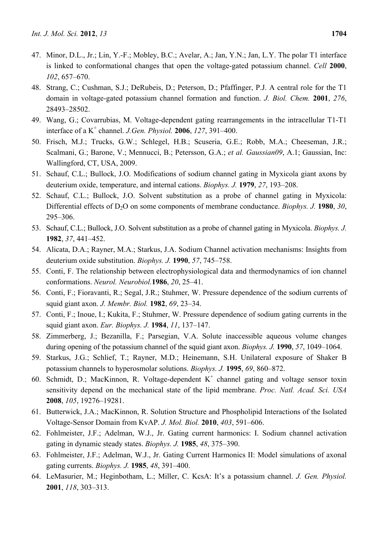- 47. Minor, D.L., Jr.; Lin, Y.-F.; Mobley, B.C.; Avelar, A.; Jan, Y.N.; Jan, L.Y. The polar T1 interface is linked to conformational changes that open the voltage-gated potassium channel. *Cell* **2000**, *102*, 657–670.
- 48. Strang, C.; Cushman, S.J.; DeRubeis, D.; Peterson, D.; Pfaffinger, P.J. A central role for the T1 domain in voltage-gated potassium channel formation and function. *J. Biol. Chem.* **2001**, *276*, 28493–28502.
- 49. Wang, G.; Covarrubias, M. Voltage-dependent gating rearrangements in the intracellular T1-T1 interface of a K+ channel. *J.Gen. Physiol.* **2006**, *127*, 391–400.
- 50. Frisch, M.J.; Trucks, G.W.; Schlegel, H.B.; Scuseria, G.E.; Robb, M.A.; Cheeseman, J.R.; Scalmani, G.; Barone, V.; Mennucci, B.; Petersson, G.A.; *et al. Gaussian09*, A.1; Gaussian, Inc: Wallingford, CT, USA, 2009.
- 51. Schauf, C.L.; Bullock, J.O. Modifications of sodium channel gating in Myxicola giant axons by deuterium oxide, temperature, and internal cations. *Biophys. J.* **1979**, *27*, 193–208.
- 52. Schauf, C.L.; Bullock, J.O. Solvent substitution as a probe of channel gating in Myxicola: Differential effects of D<sub>2</sub>O on some components of membrane conductance. *Biophys. J.* **1980**, 30, 295–306.
- 53. Schauf, C.L.; Bullock, J.O. Solvent substitution as a probe of channel gating in Myxicola. *Biophys. J.*  **1982**, *37*, 441–452.
- 54. Alicata, D.A.; Rayner, M.A.; Starkus, J.A. Sodium Channel activation mechanisms: Insights from deuterium oxide substitution. *Biophys. J.* **1990**, *57*, 745–758.
- 55. Conti, F. The relationship between electrophysiological data and thermodynamics of ion channel conformations. *Neurol. Neurobiol.***1986**, *20*, 25–41.
- 56. Conti, F.; Fioravanti, R.; Segal, J.R.; Stuhmer, W. Pressure dependence of the sodium currents of squid giant axon. *J. Membr. Biol.* **1982**, *69*, 23–34.
- 57. Conti, F.; Inoue, I.; Kukita, F.; Stuhmer, W. Pressure dependence of sodium gating currents in the squid giant axon. *Eur. Biophys. J.* **1984**, *11*, 137–147.
- 58. Zimmerberg, J.; Bezanilla, F.; Parsegian, V.A. Solute inaccessible aqueous volume changes during opening of the potassium channel of the squid giant axon. *Biophys. J.* **1990**, *57*, 1049–1064.
- 59. Starkus, J.G.; Schlief, T.; Rayner, M.D.; Heinemann, S.H. Unilateral exposure of Shaker B potassium channels to hyperosmolar solutions. *Biophys. J.* **1995**, *69*, 860–872.
- 60. Schmidt, D.; MacKinnon, R. Voltage-dependent  $K^+$  channel gating and voltage sensor toxin sensitivity depend on the mechanical state of the lipid membrane. *Proc. Natl. Acad. Sci. USA*  **2008**, *105*, 19276–19281.
- 61. Butterwick, J.A.; MacKinnon, R. Solution Structure and Phospholipid Interactions of the Isolated Voltage-Sensor Domain from KvAP. *J. Mol. Biol.* **2010**, *403*, 591–606.
- 62. Fohlmeister, J.F.; Adelman, W.J., Jr. Gating current harmonics: I. Sodium channel activation gating in dynamic steady states. *Biophys. J.* **1985**, *48*, 375–390.
- 63. Fohlmeister, J.F.; Adelman, W.J., Jr. Gating Current Harmonics II: Model simulations of axonal gating currents. *Biophys. J.* **1985**, *48*, 391–400.
- 64. LeMasurier, M.; Heginbotham, L.; Miller, C. KcsA: It's a potassium channel. *J. Gen. Physiol.*  **2001**, *118*, 303–313.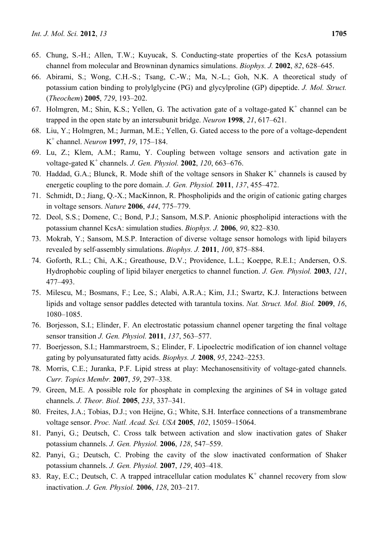- 65. Chung, S.-H.; Allen, T.W.; Kuyucak, S. Conducting-state properties of the KcsA potassium channel from molecular and Browninan dynamics simulations. *Biophys. J.* **2002**, *82*, 628–645.
- 66. Abirami, S.; Wong, C.H.-S.; Tsang, C.-W.; Ma, N.-L.; Goh, N.K. A theoretical study of potassium cation binding to prolylglycine (PG) and glycylproline (GP) dipeptide. *J. Mol. Struct.*  (*Theochem*) **2005**, *729*, 193–202.
- 67. Holmgren, M.; Shin, K.S.; Yellen, G. The activation gate of a voltage-gated  $K^+$  channel can be trapped in the open state by an intersubunit bridge. *Neuron* **1998**, *21*, 617–621.
- 68. Liu, Y.; Holmgren, M.; Jurman, M.E.; Yellen, G. Gated access to the pore of a voltage-dependent K+ channel. *Neuron* **1997**, *19*, 175–184.
- 69. Lu, Z.; Klem, A.M.; Ramu, Y. Coupling between voltage sensors and activation gate in voltage-gated K+ channels. *J. Gen. Physiol.* **2002**, *120*, 663–676.
- 70. Haddad, G.A.; Blunck, R. Mode shift of the voltage sensors in Shaker  $K^+$  channels is caused by energetic coupling to the pore domain. *J. Gen. Physiol.* **2011**, *137*, 455–472.
- 71. Schmidt, D.; Jiang, Q.-X.; MacKinnon, R. Phospholipids and the origin of cationic gating charges in voltage sensors. *Nature* **2006**, *444*, 775–779.
- 72. Deol, S.S.; Domene, C.; Bond, P.J.; Sansom, M.S.P. Anionic phospholipid interactions with the potassium channel KcsA: simulation studies. *Biophys. J.* **2006**, *90*, 822–830.
- 73. Mokrab, Y.; Sansom, M.S.P. Interaction of diverse voltage sensor homologs with lipid bilayers revealed by self-assembly simulations. *Biophys. J.* **2011**, *100*, 875–884.
- 74. Goforth, R.L.; Chi, A.K.; Greathouse, D.V.; Providence, L.L.; Koeppe, R.E.I.; Andersen, O.S. Hydrophobic coupling of lipid bilayer energetics to channel function. *J. Gen. Physiol.* **2003**, *121*, 477–493.
- 75. Milescu, M.; Bosmans, F.; Lee, S.; Alabi, A.R.A.; Kim, J.I.; Swartz, K.J. Interactions between lipids and voltage sensor paddles detected with tarantula toxins. *Nat. Struct. Mol. Biol.* **2009**, *16*, 1080–1085.
- 76. Borjesson, S.I.; Elinder, F. An electrostatic potassium channel opener targeting the final voltage sensor transition *J. Gen. Physiol.* **2011**, *137*, 563–577.
- 77. Boerjesson, S.I.; Hammarstroem, S.; Elinder, F. Lipoelectric modification of ion channel voltage gating by polyunsaturated fatty acids. *Biophys. J.* **2008**, *95*, 2242–2253.
- 78. Morris, C.E.; Juranka, P.F. Lipid stress at play: Mechanosensitivity of voltage-gated channels. *Curr. Topics Membr.* **2007**, *59*, 297–338.
- 79. Green, M.E. A possible role for phosphate in complexing the arginines of S4 in voltage gated channels. *J. Theor. Biol.* **2005**, *233*, 337–341.
- 80. Freites, J.A.; Tobias, D.J.; von Heijne, G.; White, S.H. Interface connections of a transmembrane voltage sensor. *Proc. Natl. Acad. Sci. USA* **2005**, *102*, 15059–15064.
- 81. Panyi, G.; Deutsch, C. Cross talk between activation and slow inactivation gates of Shaker potassium channels. *J. Gen. Physiol.* **2006**, *128*, 547–559.
- 82. Panyi, G.; Deutsch, C. Probing the cavity of the slow inactivated conformation of Shaker potassium channels. *J. Gen. Physiol.* **2007**, *129*, 403–418.
- 83. Ray, E.C.; Deutsch, C. A trapped intracellular cation modulates  $K^+$  channel recovery from slow inactivation. *J. Gen. Physiol.* **2006**, *128*, 203–217.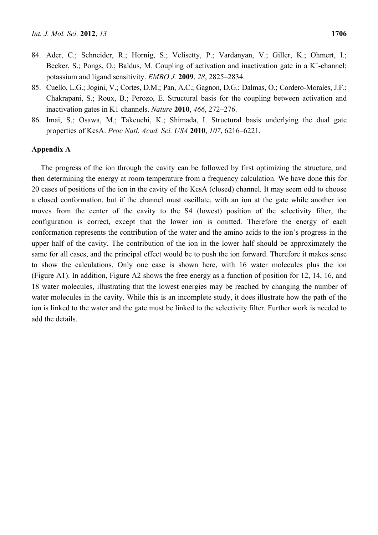- 84. Ader, C.; Schneider, R.; Hornig, S.; Velisetty, P.; Vardanyan, V.; Giller, K.; Ohmert, I.; Becker, S.; Pongs, O.; Baldus, M. Coupling of activation and inactivation gate in a  $K^+$ -channel: potassium and ligand sensitivity. *EMBO J.* **2009**, *28*, 2825–2834.
- 85. Cuello, L.G.; Jogini, V.; Cortes, D.M.; Pan, A.C.; Gagnon, D.G.; Dalmas, O.; Cordero-Morales, J.F.; Chakrapani, S.; Roux, B.; Perozo, E. Structural basis for the coupling between activation and inactivation gates in K1 channels. *Nature* **2010**, *466*, 272–276.
- 86. Imai, S.; Osawa, M.; Takeuchi, K.; Shimada, I. Structural basis underlying the dual gate properties of KcsA. *Proc Natl. Acad. Sci. USA* **2010**, *107*, 6216–6221.

#### **Appendix A**

The progress of the ion through the cavity can be followed by first optimizing the structure, and then determining the energy at room temperature from a frequency calculation. We have done this for 20 cases of positions of the ion in the cavity of the KcsA (closed) channel. It may seem odd to choose a closed conformation, but if the channel must oscillate, with an ion at the gate while another ion moves from the center of the cavity to the S4 (lowest) position of the selectivity filter, the configuration is correct, except that the lower ion is omitted. Therefore the energy of each conformation represents the contribution of the water and the amino acids to the ion's progress in the upper half of the cavity. The contribution of the ion in the lower half should be approximately the same for all cases, and the principal effect would be to push the ion forward. Therefore it makes sense to show the calculations. Only one case is shown here, with 16 water molecules plus the ion (Figure A1). In addition, Figure A2 shows the free energy as a function of position for 12, 14, 16, and 18 water molecules, illustrating that the lowest energies may be reached by changing the number of water molecules in the cavity. While this is an incomplete study, it does illustrate how the path of the ion is linked to the water and the gate must be linked to the selectivity filter. Further work is needed to add the details.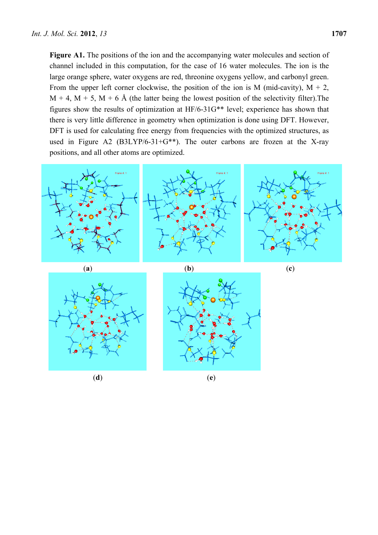Figure A1. The positions of the ion and the accompanying water molecules and section of channel included in this computation, for the case of 16 water molecules. The ion is the large orange sphere, water oxygens are red, threonine oxygens yellow, and carbonyl green. From the upper left corner clockwise, the position of the ion is M (mid-cavity),  $M + 2$ ,  $M + 4$ ,  $M + 5$ ,  $M + 6$  Å (the latter being the lowest position of the selectivity filter). The figures show the results of optimization at HF/6-31G\*\* level; experience has shown that there is very little difference in geometry when optimization is done using DFT. However, DFT is used for calculating free energy from frequencies with the optimized structures, as used in Figure A2 (B3LYP/6-31+ $G^{**}$ ). The outer carbons are frozen at the X-ray positions, and all other atoms are optimized.



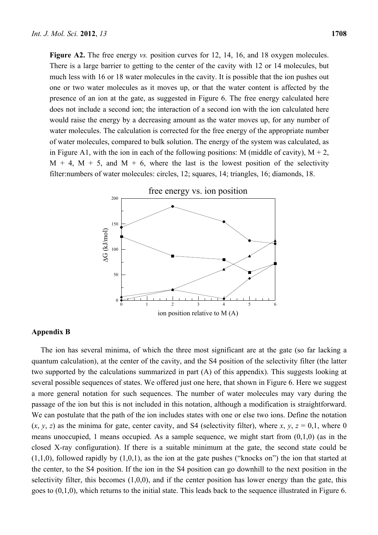**Figure A2.** The free energy *vs.* position curves for 12, 14, 16, and 18 oxygen molecules. There is a large barrier to getting to the center of the cavity with 12 or 14 molecules, but much less with 16 or 18 water molecules in the cavity. It is possible that the ion pushes out one or two water molecules as it moves up, or that the water content is affected by the presence of an ion at the gate, as suggested in Figure 6. The free energy calculated here does not include a second ion; the interaction of a second ion with the ion calculated here would raise the energy by a decreasing amount as the water moves up, for any number of water molecules. The calculation is corrected for the free energy of the appropriate number of water molecules, compared to bulk solution. The energy of the system was calculated, as in Figure A1, with the ion in each of the following positions: M (middle of cavity),  $M + 2$ ,  $M + 4$ ,  $M + 5$ , and  $M + 6$ , where the last is the lowest position of the selectivity filter:numbers of water molecules: circles, 12; squares, 14; triangles, 16; diamonds, 18.



#### **Appendix B**

The ion has several minima, of which the three most significant are at the gate (so far lacking a quantum calculation), at the center of the cavity, and the S4 position of the selectivity filter (the latter two supported by the calculations summarized in part (A) of this appendix). This suggests looking at several possible sequences of states. We offered just one here, that shown in Figure 6. Here we suggest a more general notation for such sequences. The number of water molecules may vary during the passage of the ion but this is not included in this notation, although a modification is straightforward. We can postulate that the path of the ion includes states with one or else two ions. Define the notation  $(x, y, z)$  as the minima for gate, center cavity, and S4 (selectivity filter), where *x*, *y*, *z* = 0,1, where 0 means unoccupied, 1 means occupied. As a sample sequence, we might start from (0,1,0) (as in the closed X-ray configuration). If there is a suitable minimum at the gate, the second state could be  $(1,1,0)$ , followed rapidly by  $(1,0,1)$ , as the ion at the gate pushes ("knocks on") the ion that started at the center, to the S4 position. If the ion in the S4 position can go downhill to the next position in the selectivity filter, this becomes  $(1,0,0)$ , and if the center position has lower energy than the gate, this goes to  $(0,1,0)$ , which returns to the initial state. This leads back to the sequence illustrated in Figure 6.